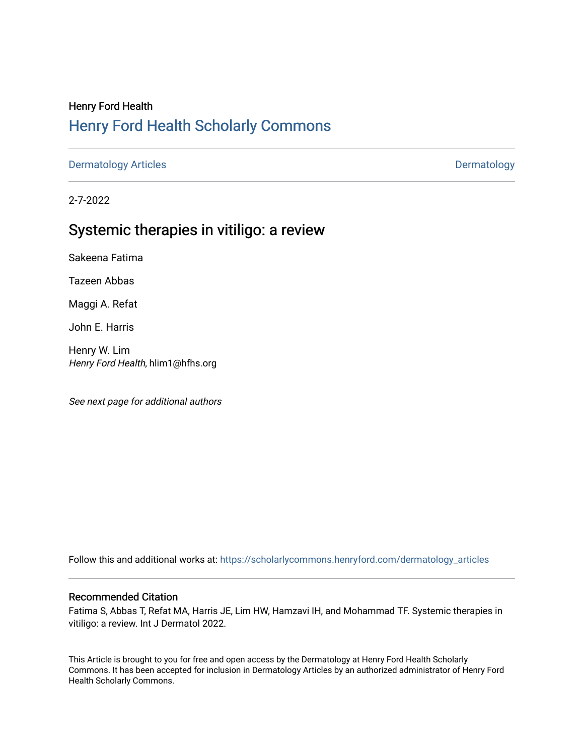# Henry Ford Health [Henry Ford Health Scholarly Commons](https://scholarlycommons.henryford.com/)

[Dermatology Articles](https://scholarlycommons.henryford.com/dermatology_articles) **Dermatology** 

2-7-2022

# Systemic therapies in vitiligo: a review

Sakeena Fatima

Tazeen Abbas

Maggi A. Refat

John E. Harris

Henry W. Lim Henry Ford Health, hlim1@hfhs.org

See next page for additional authors

Follow this and additional works at: [https://scholarlycommons.henryford.com/dermatology\\_articles](https://scholarlycommons.henryford.com/dermatology_articles?utm_source=scholarlycommons.henryford.com%2Fdermatology_articles%2F657&utm_medium=PDF&utm_campaign=PDFCoverPages)

# Recommended Citation

Fatima S, Abbas T, Refat MA, Harris JE, Lim HW, Hamzavi IH, and Mohammad TF. Systemic therapies in vitiligo: a review. Int J Dermatol 2022.

This Article is brought to you for free and open access by the Dermatology at Henry Ford Health Scholarly Commons. It has been accepted for inclusion in Dermatology Articles by an authorized administrator of Henry Ford Health Scholarly Commons.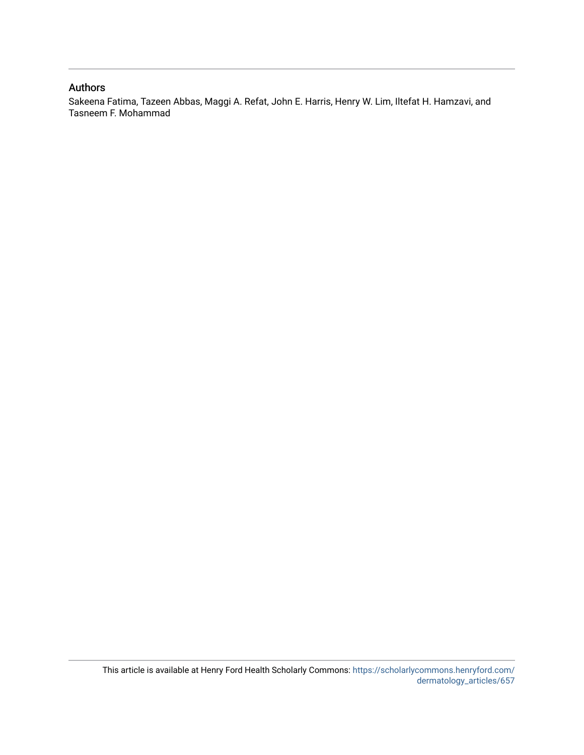# Authors

Sakeena Fatima, Tazeen Abbas, Maggi A. Refat, John E. Harris, Henry W. Lim, Iltefat H. Hamzavi, and Tasneem F. Mohammad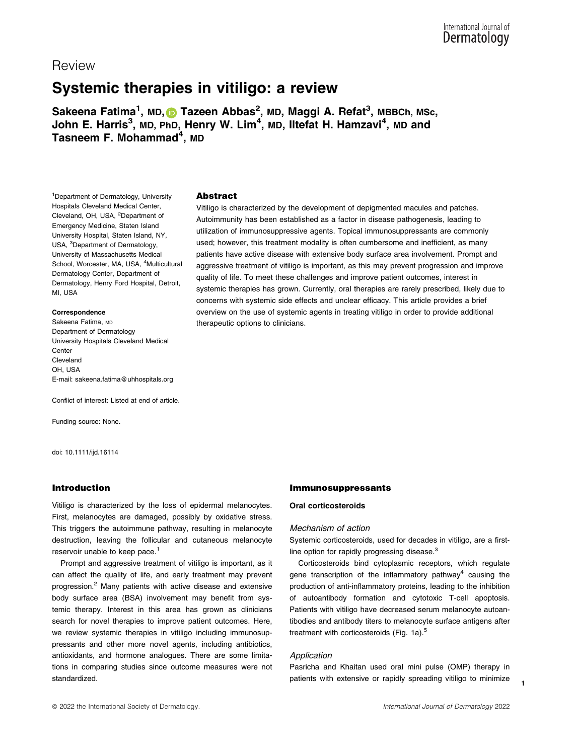Review

# $\ddot{\phantom{a}}$ Systemic therapies in vitiligo: a review

Sakeena Fatima<sup>1</sup>, MD, **O** Tazeen Abbas<sup>2</sup>, MD, Maggi A. Refat<sup>3</sup>, MBBCh, MSc, John E. Harris<sup>3</sup>, MD, PhD, Henry W. Lim<sup>4</sup>, MD, Iltefat H. Hamzavi<sup>4</sup>, MD and Таѕпеет F. Mohammad $^{\mathsf{4}}$ , мо

1 Department of Dermatology, University Hospitals Cleveland Medical Center, Cleveland, OH, USA, <sup>2</sup>Department of Emergency Medicine, Staten Island University Hospital, Staten Island, NY, USA, <sup>3</sup>Department of Dermatology, University of Massachusetts Medical School, Worcester, MA, USA, <sup>4</sup>Multicultural Dermatology Center, Department of Dermatology, Henry Ford Hospital, Detroit, MI, USA

#### Correspondence

Sakeena Fatima, MD Department of Dermatology University Hospitals Cleveland Medical **Center** Cleveland OH, USA E-mail: [sakeena.fatima@uhhospitals.org](mailto:)

Conflict of interest: Listed at end of article.

Funding source: None.

doi: 10.1111/ijd.16114

#### Introduction

Vitiligo is characterized by the loss of epidermal melanocytes. First, melanocytes are damaged, possibly by oxidative stress. This triggers the autoimmune pathway, resulting in melanocyte destruction, leaving the follicular and cutaneous melanocyte reservoir unable to keep pace.<sup>1</sup>

Prompt and aggressive treatment of vitiligo is important, as it can affect the quality of life, and early treatment may prevent progression.2 Many patients with active disease and extensive body surface area (BSA) involvement may benefit from systemic therapy. Interest in this area has grown as clinicians search for novel therapies to improve patient outcomes. Here, we review systemic therapies in vitiligo including immunosuppressants and other more novel agents, including antibiotics, antioxidants, and hormone analogues. There are some limitations in comparing studies since outcome measures were not standardized.

# Abstract

Vitiligo is characterized by the development of depigmented macules and patches. Autoimmunity has been established as a factor in disease pathogenesis, leading to utilization of immunosuppressive agents. Topical immunosuppressants are commonly used; however, this treatment modality is often cumbersome and inefficient, as many patients have active disease with extensive body surface area involvement. Prompt and aggressive treatment of vitiligo is important, as this may prevent progression and improve quality of life. To meet these challenges and improve patient outcomes, interest in systemic therapies has grown. Currently, oral therapies are rarely prescribed, likely due to concerns with systemic side effects and unclear efficacy. This article provides a brief overview on the use of systemic agents in treating vitiligo in order to provide additional therapeutic options to clinicians.

#### Immunosuppressants

#### Oral corticosteroids

#### Mechanism of action

Systemic corticosteroids, used for decades in vitiligo, are a firstline option for rapidly progressing disease.<sup>3</sup>

Corticosteroids bind cytoplasmic receptors, which regulate gene transcription of the inflammatory pathway<sup>4</sup> causing the production of anti-inflammatory proteins, leading to the inhibition of autoantibody formation and cytotoxic T-cell apoptosis. Patients with vitiligo have decreased serum melanocyte autoantibodies and antibody titers to melanocyte surface antigens after treatment with corticosteroids (Fig. 1a).<sup>5</sup>

#### Application

Pasricha and Khaitan used oral mini pulse (OMP) therapy in patients with extensive or rapidly spreading vitiligo to minimize

1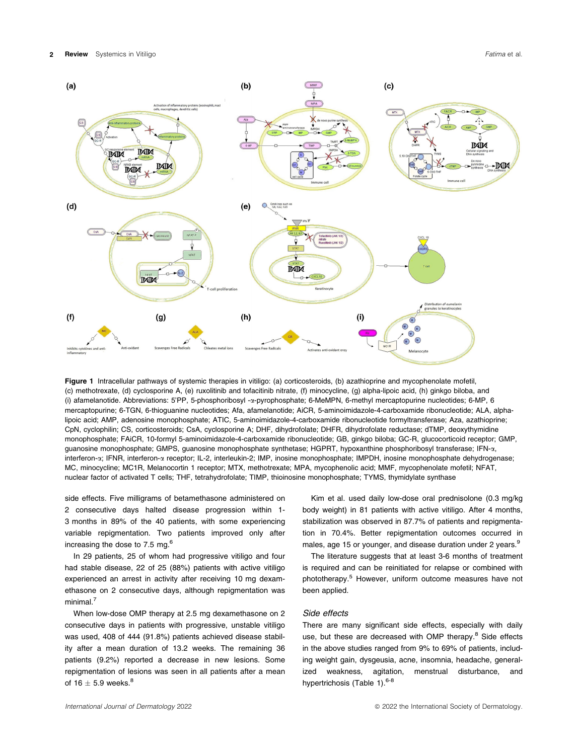

Figure 1 Intracellular pathways of systemic therapies in vitiligo: (a) corticosteroids, (b) azathioprine and mycophenolate mofetil, (c) methotrexate, (d) cyclosporine A, (e) ruxolitinib and tofacitinib nitrate, (f) minocycline, (g) alpha-lipoic acid, (h) ginkgo biloba, and (i) afamelanotide. Abbreviations: 5'PP, 5-phosphoribosyl -a-pyrophosphate; 6-MeMPN, 6-methyl mercaptopurine nucleotides; 6-MP, 6 mercaptopurine; 6-TGN, 6-thioguanine nucleotides; Afa, afamelanotide; AiCR, 5-aminoimidazole-4-carboxamide ribonucleotide; ALA, alphalipoic acid; AMP, adenosine monophosphate; ATIC, 5-aminoimidazole-4-carboxamide ribonucleotide formyltransferase; Aza, azathioprine; CpN, cyclophilin; CS, corticosteroids; CsA, cyclosporine A; DHF, dihydrofolate; DHFR, dihydrofolate reductase; dTMP, deoxythymidine monophosphate; FAiCR, 10-formyl 5-aminoimidazole-4-carboxamide ribonucleotide; GB, ginkgo biloba; GC-R, glucocorticoid receptor; GMP, guanosine monophosphate; GMPS, guanosine monophosphate synthetase; HGPRT, hypoxanthine phosphoribosyl transferase; IFN- $\alpha$ , interferon-a; IFNR, interferon-a receptor; IL-2, interleukin-2; IMP, inosine monophosphate; IMPDH, inosine monophosphate dehydrogenase; MC, minocycline; MC1R, Melanocortin 1 receptor; MTX, methotrexate; MPA, mycophenolic acid; MMF, mycophenolate mofetil; NFAT, nuclear factor of activated T cells; THF, tetrahydrofolate; TIMP, thioinosine monophosphate; TYMS, thymidylate synthase

side effects. Five milligrams of betamethasone administered on 2 consecutive days halted disease progression within 1- 3 months in 89% of the 40 patients, with some experiencing variable repigmentation. Two patients improved only after increasing the dose to 7.5 mg. $^{6}$ 

In 29 patients, 25 of whom had progressive vitiligo and four had stable disease, 22 of 25 (88%) patients with active vitiligo experienced an arrest in activity after receiving 10 mg dexamethasone on 2 consecutive days, although repigmentation was minimal.<sup>7</sup>

When low-dose OMP therapy at 2.5 mg dexamethasone on 2 consecutive days in patients with progressive, unstable vitiligo was used, 408 of 444 (91.8%) patients achieved disease stability after a mean duration of 13.2 weeks. The remaining 36 patients (9.2%) reported a decrease in new lesions. Some repigmentation of lesions was seen in all patients after a mean of 16  $\pm$  5.9 weeks.<sup>8</sup>

Kim et al. used daily low-dose oral prednisolone (0.3 mg/kg body weight) in 81 patients with active vitiligo. After 4 months, stabilization was observed in 87.7% of patients and repigmentation in 70.4%. Better repigmentation outcomes occurred in males, age 15 or younger, and disease duration under 2 years.<sup>9</sup>

The literature suggests that at least 3-6 months of treatment is required and can be reinitiated for relapse or combined with phototherapy.5 However, uniform outcome measures have not been applied.

#### Side effects

There are many significant side effects, especially with daily use, but these are decreased with OMP therapy.<sup>8</sup> Side effects in the above studies ranged from 9% to 69% of patients, including weight gain, dysgeusia, acne, insomnia, headache, generalized weakness, agitation, menstrual disturbance, and hypertrichosis (Table 1).<sup>6-8</sup>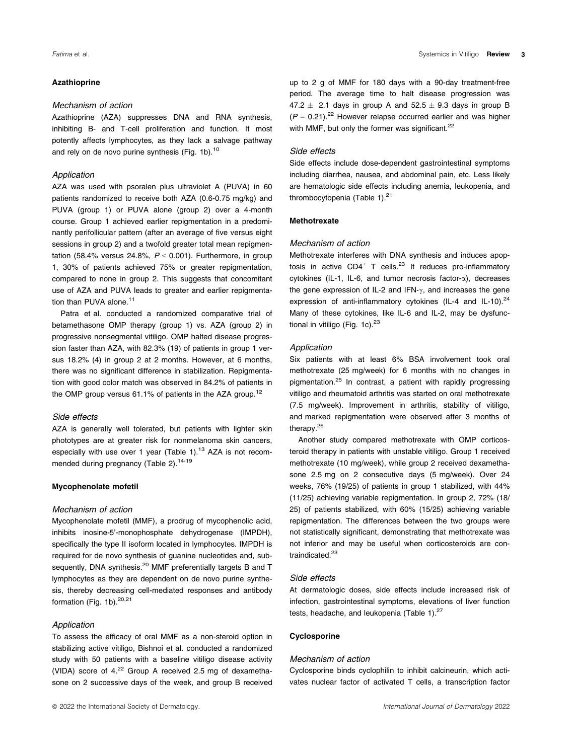#### Azathioprine

#### Mechanism of action

Azathioprine (AZA) suppresses DNA and RNA synthesis, inhibiting B- and T-cell proliferation and function. It most potently affects lymphocytes, as they lack a salvage pathway and rely on de novo purine synthesis (Fig. 1b).<sup>10</sup>

#### Application

AZA was used with psoralen plus ultraviolet A (PUVA) in 60 patients randomized to receive both AZA (0.6-0.75 mg/kg) and PUVA (group 1) or PUVA alone (group 2) over a 4-month course. Group 1 achieved earlier repigmentation in a predominantly perifollicular pattern (after an average of five versus eight sessions in group 2) and a twofold greater total mean repigmentation (58.4% versus 24.8%,  $P < 0.001$ ). Furthermore, in group 1, 30% of patients achieved 75% or greater repigmentation, compared to none in group 2. This suggests that concomitant use of AZA and PUVA leads to greater and earlier repigmentation than PUVA alone.<sup>11</sup>

Patra et al. conducted a randomized comparative trial of betamethasone OMP therapy (group 1) vs. AZA (group 2) in progressive nonsegmental vitiligo. OMP halted disease progression faster than AZA, with 82.3% (19) of patients in group 1 versus 18.2% (4) in group 2 at 2 months. However, at 6 months, there was no significant difference in stabilization. Repigmentation with good color match was observed in 84.2% of patients in the OMP group versus  $61.1\%$  of patients in the AZA group.<sup>12</sup>

#### Side effects

AZA is generally well tolerated, but patients with lighter skin phototypes are at greater risk for nonmelanoma skin cancers, especially with use over 1 year (Table 1). $13$  AZA is not recommended during pregnancy (Table 2).<sup>14-19</sup>

#### Mycophenolate mofetil

#### Mechanism of action

Mycophenolate mofetil (MMF), a prodrug of mycophenolic acid, inhibits inosine-5'-monophosphate dehydrogenase (IMPDH), specifically the type II isoform located in lymphocytes. IMPDH is required for de novo synthesis of guanine nucleotides and, subsequently, DNA synthesis.<sup>20</sup> MMF preferentially targets B and T lymphocytes as they are dependent on de novo purine synthesis, thereby decreasing cell-mediated responses and antibody formation (Fig. 1b). $20,21$ 

# Application

To assess the efficacy of oral MMF as a non-steroid option in stabilizing active vitiligo, Bishnoi et al. conducted a randomized study with 50 patients with a baseline vitiligo disease activity (VIDA) score of  $4.^{22}$  Group A received 2.5 mg of dexamethasone on 2 successive days of the week, and group B received

up to 2 g of MMF for 180 days with a 90-day treatment-free period. The average time to halt disease progression was  $47.2 \pm 2.1$  days in group A and  $52.5 \pm 9.3$  days in group B  $(P = 0.21).^{22}$  However relapse occurred earlier and was higher with MMF, but only the former was significant.<sup>22</sup>

#### Side effects

Side effects include dose-dependent gastrointestinal symptoms including diarrhea, nausea, and abdominal pain, etc. Less likely are hematologic side effects including anemia, leukopenia, and thrombocytopenia (Table 1).<sup>21</sup>

#### Methotrexate

#### Mechanism of action

Methotrexate interferes with DNA synthesis and induces apoptosis in active  $CD4^+$  T cells.<sup>23</sup> It reduces pro-inflammatory cytokines (IL-1, IL-6, and tumor necrosis factor-a), decreases the gene expression of IL-2 and IFN- $\gamma$ , and increases the gene expression of anti-inflammatory cytokines (IL-4 and IL-10). $^{24}$ Many of these cytokines, like IL-6 and IL-2, may be dysfunctional in vitiligo (Fig. 1c). $^{23}$ 

#### Application

Six patients with at least 6% BSA involvement took oral methotrexate (25 mg/week) for 6 months with no changes in pigmentation.<sup>25</sup> In contrast, a patient with rapidly progressing vitiligo and rheumatoid arthritis was started on oral methotrexate (7.5 mg/week). Improvement in arthritis, stability of vitiligo, and marked repigmentation were observed after 3 months of therapy.<sup>26</sup>

Another study compared methotrexate with OMP corticosteroid therapy in patients with unstable vitiligo. Group 1 received methotrexate (10 mg/week), while group 2 received dexamethasone 2.5 mg on 2 consecutive days (5 mg/week). Over 24 weeks, 76% (19/25) of patients in group 1 stabilized, with 44% (11/25) achieving variable repigmentation. In group 2, 72% (18/ 25) of patients stabilized, with 60% (15/25) achieving variable repigmentation. The differences between the two groups were not statistically significant, demonstrating that methotrexate was not inferior and may be useful when corticosteroids are contraindicated.<sup>23</sup>

#### Side effects

At dermatologic doses, side effects include increased risk of infection, gastrointestinal symptoms, elevations of liver function tests, headache, and leukopenia (Table 1).<sup>27</sup>

#### Cyclosporine

#### Mechanism of action

Cyclosporine binds cyclophilin to inhibit calcineurin, which activates nuclear factor of activated T cells, a transcription factor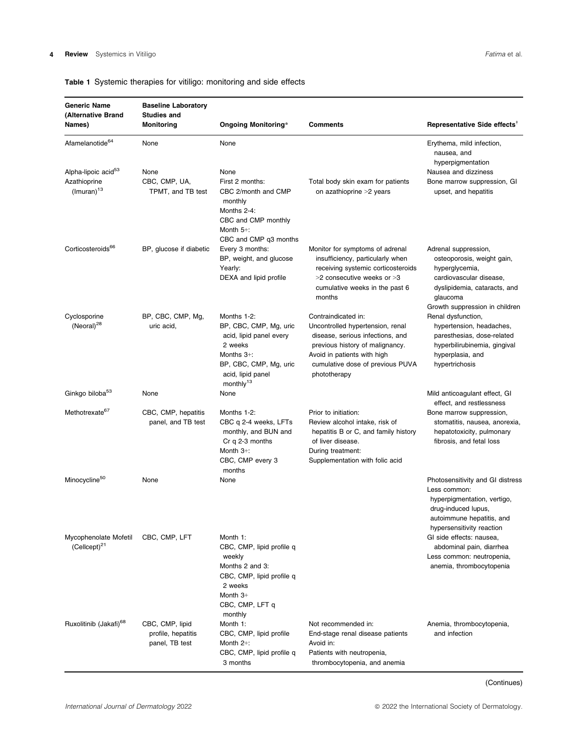# Table 1 Systemic therapies for vitiligo: monitoring and side effects

| <b>Generic Name</b><br>(Alternative Brand                          | <b>Baseline Laboratory</b><br><b>Studies and</b>        |                                                                                                                                                                      |                                                                                                                                                                                                                   |                                                                                                                                                                               |
|--------------------------------------------------------------------|---------------------------------------------------------|----------------------------------------------------------------------------------------------------------------------------------------------------------------------|-------------------------------------------------------------------------------------------------------------------------------------------------------------------------------------------------------------------|-------------------------------------------------------------------------------------------------------------------------------------------------------------------------------|
| Names)                                                             | <b>Monitoring</b>                                       | <b>Ongoing Monitoring*</b>                                                                                                                                           | <b>Comments</b>                                                                                                                                                                                                   | Representative Side effects <sup>†</sup>                                                                                                                                      |
| Afamelanotide <sup>64</sup>                                        | None                                                    | None                                                                                                                                                                 |                                                                                                                                                                                                                   | Erythema, mild infection,<br>nausea, and<br>hyperpigmentation                                                                                                                 |
| Alpha-lipoic acid <sup>53</sup><br>Azathioprine<br>$(Imuran)^{13}$ | None<br>CBC, CMP, UA,<br>TPMT, and TB test              | None<br>First 2 months:<br>CBC 2/month and CMP<br>monthly<br>Months 2-4:<br>CBC and CMP monthly<br>Month $5+$ :<br>CBC and CMP q3 months                             | Total body skin exam for patients<br>on azathioprine >2 years                                                                                                                                                     | Nausea and dizziness<br>Bone marrow suppression, GI<br>upset, and hepatitis                                                                                                   |
| Corticosteroids <sup>66</sup>                                      | BP, glucose if diabetic                                 | Every 3 months:<br>BP, weight, and glucose<br>Yearly:<br>DEXA and lipid profile                                                                                      | Monitor for symptoms of adrenal<br>insufficiency, particularly when<br>receiving systemic corticosteroids<br>>2 consecutive weeks or >3<br>cumulative weeks in the past 6<br>months                               | Adrenal suppression,<br>osteoporosis, weight gain,<br>hyperglycemia,<br>cardiovascular disease,<br>dyslipidemia, cataracts, and<br>glaucoma<br>Growth suppression in children |
| Cyclosporine<br>(Neoral) <sup>28</sup>                             | BP, CBC, CMP, Mg,<br>uric acid,                         | Months 1-2:<br>BP, CBC, CMP, Mg, uric<br>acid, lipid panel every<br>2 weeks<br>Months $3+$ :<br>BP, CBC, CMP, Mg, uric<br>acid, lipid panel<br>monthly <sup>13</sup> | Contraindicated in:<br>Uncontrolled hypertension, renal<br>disease, serious infections, and<br>previous history of malignancy.<br>Avoid in patients with high<br>cumulative dose of previous PUVA<br>phototherapy | Renal dysfunction,<br>hypertension, headaches,<br>paresthesias, dose-related<br>hyperbilirubinemia, gingival<br>hyperplasia, and<br>hypertrichosis                            |
| Ginkgo biloba <sup>53</sup>                                        | None                                                    | None                                                                                                                                                                 |                                                                                                                                                                                                                   | Mild anticoagulant effect, GI<br>effect, and restlessness                                                                                                                     |
| Methotrexate <sup>67</sup>                                         | CBC, CMP, hepatitis<br>panel, and TB test               | Months 1-2:<br>CBC q 2-4 weeks, LFTs<br>monthly, and BUN and<br>$Cr$ q 2-3 months<br>Month $3+$ :<br>CBC, CMP every 3<br>months                                      | Prior to initiation:<br>Review alcohol intake, risk of<br>hepatitis B or C, and family history<br>of liver disease.<br>During treatment:<br>Supplementation with folic acid                                       | Bone marrow suppression,<br>stomatitis, nausea, anorexia,<br>hepatotoxicity, pulmonary<br>fibrosis, and fetal loss                                                            |
| Minocycline <sup>50</sup>                                          | None                                                    | None                                                                                                                                                                 |                                                                                                                                                                                                                   | Photosensitivity and GI distress<br>Less common:<br>hyperpigmentation, vertigo,<br>drug-induced lupus,<br>autoimmune hepatitis, and<br>hypersensitivity reaction              |
| Mycophenolate Mofetil<br>$(Cellcept)^{21}$                         | CBC, CMP, LFT                                           | Month 1:<br>CBC, CMP, lipid profile q<br>weekly<br>Months 2 and 3:<br>CBC, CMP, lipid profile q<br>2 weeks<br>Month 3+<br>CBC, CMP, LFT q<br>monthly                 |                                                                                                                                                                                                                   | GI side effects: nausea,<br>abdominal pain, diarrhea<br>Less common: neutropenia,<br>anemia, thrombocytopenia                                                                 |
| Ruxolitinib (Jakafi) <sup>68</sup>                                 | CBC, CMP, lipid<br>profile, hepatitis<br>panel, TB test | Month 1:<br>CBC, CMP, lipid profile<br>Month $2+$ :<br>CBC, CMP, lipid profile q<br>3 months                                                                         | Not recommended in:<br>End-stage renal disease patients<br>Avoid in:<br>Patients with neutropenia,<br>thrombocytopenia, and anemia                                                                                | Anemia, thrombocytopenia,<br>and infection                                                                                                                                    |

(Continues)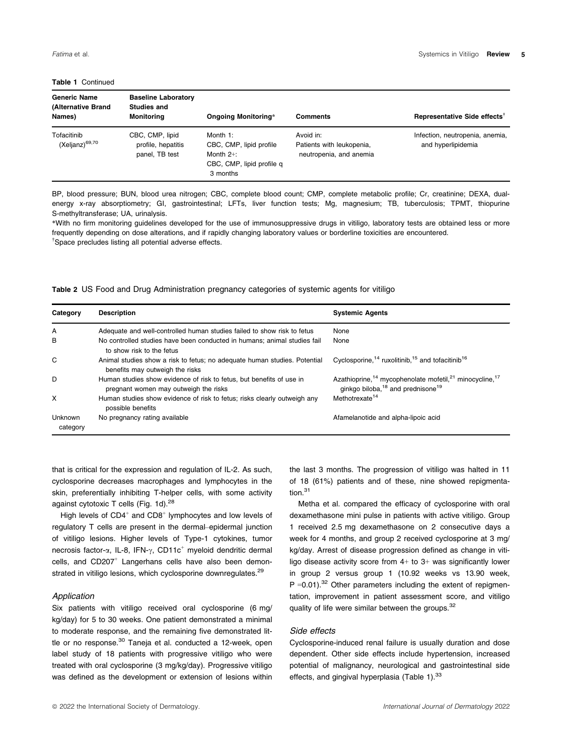#### Table 1 Continued

| <b>Generic Name</b><br>(Alternative Brand<br>Names) | <b>Baseline Laboratory</b><br><b>Studies and</b><br><b>Monitoring</b> | Ongoing Monitoring*                                                                          | <b>Comments</b>                                                   | Representative Side effects <sup>†</sup>              |
|-----------------------------------------------------|-----------------------------------------------------------------------|----------------------------------------------------------------------------------------------|-------------------------------------------------------------------|-------------------------------------------------------|
| Tofacitinib<br>(Xeljanz) <sup>69,70</sup>           | CBC, CMP, lipid<br>profile, hepatitis<br>panel, TB test               | Month 1:<br>CBC, CMP, lipid profile<br>Month $2+$ :<br>CBC, CMP, lipid profile q<br>3 months | Avoid in:<br>Patients with leukopenia,<br>neutropenia, and anemia | Infection, neutropenia, anemia,<br>and hyperlipidemia |

BP, blood pressure; BUN, blood urea nitrogen; CBC, complete blood count; CMP, complete metabolic profile; Cr, creatinine; DEXA, dualenergy x-ray absorptiometry; GI, gastrointestinal; LFTs, liver function tests; Mg, magnesium; TB, tuberculosis; TPMT, thiopurine S-methyltransferase; UA, urinalysis.

\*With no firm monitoring guidelines developed for the use of immunosuppressive drugs in vitiligo, laboratory tests are obtained less or more frequently depending on dose alterations, and if rapidly changing laboratory values or borderline toxicities are encountered. † Space precludes listing all potential adverse effects.

Table 2 US Food and Drug Administration pregnancy categories of systemic agents for vitiligo

| Category            | <b>Description</b>                                                                                            | <b>Systemic Agents</b>                                                                                                                                   |
|---------------------|---------------------------------------------------------------------------------------------------------------|----------------------------------------------------------------------------------------------------------------------------------------------------------|
| A                   | Adequate and well-controlled human studies failed to show risk to fetus                                       | None                                                                                                                                                     |
| B                   | No controlled studies have been conducted in humans; animal studies fail<br>to show risk to the fetus         | None                                                                                                                                                     |
| C                   | Animal studies show a risk to fetus; no adequate human studies. Potential<br>benefits may outweigh the risks  | Cyclosporine, $14$ ruxolitinib, $15$ and to facitinib <sup>16</sup>                                                                                      |
| D                   | Human studies show evidence of risk to fetus, but benefits of use in<br>pregnant women may outweigh the risks | Azathioprine, <sup>14</sup> mycophenolate mofetil, <sup>21</sup> minocycline, <sup>17</sup><br>ginkgo biloba, <sup>18</sup> and prednisone <sup>19</sup> |
| X                   | Human studies show evidence of risk to fetus; risks clearly outweigh any<br>possible benefits                 | Methotrexate <sup>14</sup>                                                                                                                               |
| Unknown<br>category | No pregnancy rating available                                                                                 | Afamelanotide and alpha-lipoic acid                                                                                                                      |

that is critical for the expression and regulation of IL-2. As such, cyclosporine decreases macrophages and lymphocytes in the skin, preferentially inhibiting T-helper cells, with some activity against cytotoxic T cells (Fig. 1d).<sup>28</sup>

High levels of  $CD4^+$  and  $CD8^+$  lymphocytes and low levels of regulatory T cells are present in the dermal–epidermal junction of vitiligo lesions. Higher levels of Type-1 cytokines, tumor necrosis factor- $\alpha$ , IL-8, IFN- $\gamma$ , CD11c<sup>+</sup> myeloid dendritic dermal cells, and CD207<sup>+</sup> Langerhans cells have also been demonstrated in vitiligo lesions, which cyclosporine downregulates.<sup>29</sup>

#### Application

Six patients with vitiligo received oral cyclosporine (6 mg/ kg/day) for 5 to 30 weeks. One patient demonstrated a minimal to moderate response, and the remaining five demonstrated little or no response.<sup>30</sup> Taneja et al. conducted a 12-week, open label study of 18 patients with progressive vitiligo who were treated with oral cyclosporine (3 mg/kg/day). Progressive vitiligo was defined as the development or extension of lesions within

the last 3 months. The progression of vitiligo was halted in 11 of 18 (61%) patients and of these, nine showed repigmentation.<sup>31</sup>

Metha et al. compared the efficacy of cyclosporine with oral dexamethasone mini pulse in patients with active vitiligo. Group 1 received 2.5 mg dexamethasone on 2 consecutive days a week for 4 months, and group 2 received cyclosporine at 3 mg/ kg/day. Arrest of disease progression defined as change in vitiligo disease activity score from 4+ to 3+ was significantly lower in group 2 versus group 1 (10.92 weeks vs 13.90 week,  $P = 0.01$ .<sup>32</sup> Other parameters including the extent of repigmentation, improvement in patient assessment score, and vitiligo quality of life were similar between the groups.<sup>32</sup>

# Side effects

Cyclosporine-induced renal failure is usually duration and dose dependent. Other side effects include hypertension, increased potential of malignancy, neurological and gastrointestinal side effects, and gingival hyperplasia (Table 1).<sup>33</sup>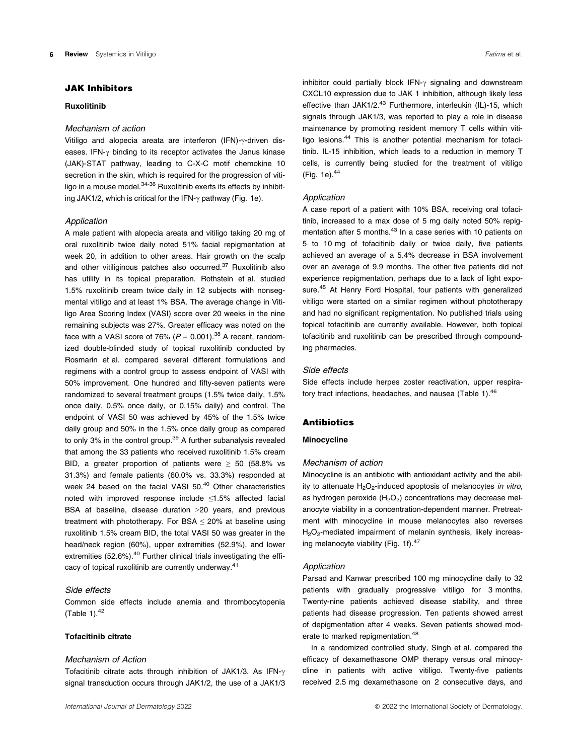# JAK Inhibitors

#### Ruxolitinib

#### Mechanism of action

Vitiligo and alopecia areata are interferon (IFN)- $\gamma$ -driven diseases. IFN- $\gamma$  binding to its receptor activates the Janus kinase (JAK)-STAT pathway, leading to C-X-C motif chemokine 10 secretion in the skin, which is required for the progression of vitiligo in a mouse model.<sup>34-36</sup> Ruxolitinib exerts its effects by inhibiting JAK1/2, which is critical for the IFN- $\gamma$  pathway (Fig. 1e).

#### Application

A male patient with alopecia areata and vitiligo taking 20 mg of oral ruxolitinib twice daily noted 51% facial repigmentation at week 20, in addition to other areas. Hair growth on the scalp and other vitiliginous patches also occurred.<sup>37</sup> Ruxolitinib also has utility in its topical preparation. Rothstein et al. studied 1.5% ruxolitinib cream twice daily in 12 subjects with nonsegmental vitiligo and at least 1% BSA. The average change in Vitiligo Area Scoring Index (VASI) score over 20 weeks in the nine remaining subjects was 27%. Greater efficacy was noted on the face with a VASI score of 76% ( $P = 0.001$ ).<sup>38</sup> A recent, randomized double-blinded study of topical ruxolitinib conducted by Rosmarin et al. compared several different formulations and regimens with a control group to assess endpoint of VASI with 50% improvement. One hundred and fifty-seven patients were randomized to several treatment groups (1.5% twice daily, 1.5% once daily, 0.5% once daily, or 0.15% daily) and control. The endpoint of VASI 50 was achieved by 45% of the 1.5% twice daily group and 50% in the 1.5% once daily group as compared to only 3% in the control group.<sup>39</sup> A further subanalysis revealed that among the 33 patients who received ruxolitinib 1.5% cream BID, a greater proportion of patients were  $\geq$  50 (58.8% vs 31.3%) and female patients (60.0% vs. 33.3%) responded at week 24 based on the facial VASI 50.<sup>40</sup> Other characteristics noted with improved response include ≤1.5% affected facial BSA at baseline, disease duration >20 years, and previous treatment with phototherapy. For BSA  $\leq$  20% at baseline using ruxolitinib 1.5% cream BID, the total VASI 50 was greater in the head/neck region (60%), upper extremities (52.9%), and lower extremities (52.6%).<sup>40</sup> Further clinical trials investigating the efficacy of topical ruxolitinib are currently underway.<sup>41</sup>

# Side effects

Common side effects include anemia and thrombocytopenia (Table 1). $42$ 

#### Tofacitinib citrate

#### Mechanism of Action

Tofacitinib citrate acts through inhibition of JAK1/3. As IFN- $\gamma$ signal transduction occurs through JAK1/2, the use of a JAK1/3

inhibitor could partially block IFN- $\gamma$  signaling and downstream CXCL10 expression due to JAK 1 inhibition, although likely less effective than JAK1/2.<sup>43</sup> Furthermore, interleukin (IL)-15, which signals through JAK1/3, was reported to play a role in disease maintenance by promoting resident memory T cells within vitiligo lesions.<sup>44</sup> This is another potential mechanism for tofacitinib. IL-15 inhibition, which leads to a reduction in memory T cells, is currently being studied for the treatment of vitiligo (Fig. 1e).44

#### Application

A case report of a patient with 10% BSA, receiving oral tofacitinib, increased to a max dose of 5 mg daily noted 50% repigmentation after 5 months.<sup>43</sup> In a case series with 10 patients on 5 to 10 mg of tofacitinib daily or twice daily, five patients achieved an average of a 5.4% decrease in BSA involvement over an average of 9.9 months. The other five patients did not experience repigmentation, perhaps due to a lack of light exposure.<sup>45</sup> At Henry Ford Hospital, four patients with generalized vitiligo were started on a similar regimen without phototherapy and had no significant repigmentation. No published trials using topical tofacitinib are currently available. However, both topical tofacitinib and ruxolitinib can be prescribed through compounding pharmacies.

#### Side effects

Side effects include herpes zoster reactivation, upper respiratory tract infections, headaches, and nausea (Table 1).<sup>46</sup>

#### Antibiotics

#### Minocycline

#### Mechanism of action

Minocycline is an antibiotic with antioxidant activity and the ability to attenuate  $H_2O_2$ -induced apoptosis of melanocytes in vitro, as hydrogen peroxide  $(H<sub>2</sub>O<sub>2</sub>)$  concentrations may decrease melanocyte viability in a concentration-dependent manner. Pretreatment with minocycline in mouse melanocytes also reverses H<sub>2</sub>O<sub>2</sub>-mediated impairment of melanin synthesis, likely increasing melanocyte viability (Fig. 1f).<sup>47</sup>

#### Application

Parsad and Kanwar prescribed 100 mg minocycline daily to 32 patients with gradually progressive vitiligo for 3 months. Twenty-nine patients achieved disease stability, and three patients had disease progression. Ten patients showed arrest of depigmentation after 4 weeks. Seven patients showed moderate to marked repigmentation.<sup>48</sup>

In a randomized controlled study, Singh et al. compared the efficacy of dexamethasone OMP therapy versus oral minocycline in patients with active vitiligo. Twenty-five patients received 2.5 mg dexamethasone on 2 consecutive days, and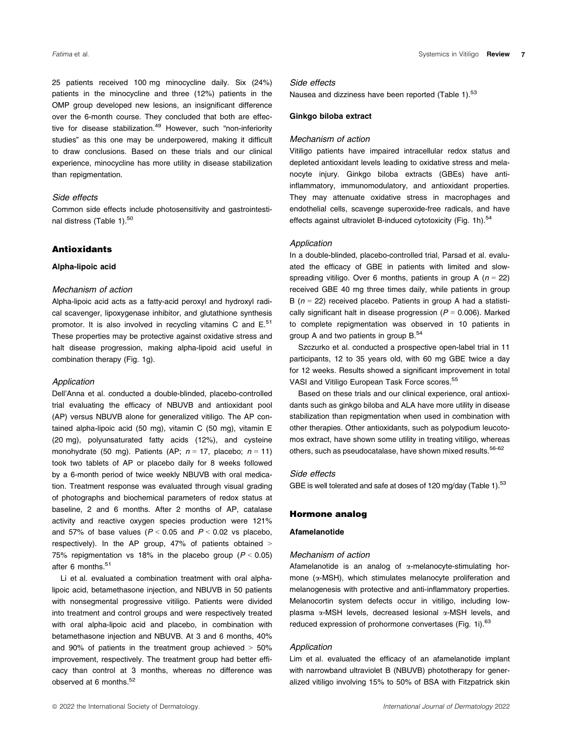25 patients received 100 mg minocycline daily. Six (24%) patients in the minocycline and three (12%) patients in the OMP group developed new lesions, an insignificant difference over the 6-month course. They concluded that both are effective for disease stabilization.<sup>49</sup> However, such "non-inferiority studies" as this one may be underpowered, making it difficult to draw conclusions. Based on these trials and our clinical experience, minocycline has more utility in disease stabilization than repigmentation.

# Side effects

Common side effects include photosensitivity and gastrointestinal distress (Table 1).<sup>50</sup>

### Antioxidants

#### Alpha-lipoic acid

#### Mechanism of action

Alpha-lipoic acid acts as a fatty-acid peroxyl and hydroxyl radical scavenger, lipoxygenase inhibitor, and glutathione synthesis promotor. It is also involved in recycling vitamins C and  $E^{51}$ These properties may be protective against oxidative stress and halt disease progression, making alpha-lipoid acid useful in combination therapy (Fig. 1g).

#### Application

Dell'Anna et al. conducted a double-blinded, placebo-controlled trial evaluating the efficacy of NBUVB and antioxidant pool (AP) versus NBUVB alone for generalized vitiligo. The AP contained alpha-lipoic acid (50 mg), vitamin C (50 mg), vitamin E (20 mg), polyunsaturated fatty acids (12%), and cysteine monohydrate (50 mg). Patients (AP;  $n = 17$ , placebo;  $n = 11$ ) took two tablets of AP or placebo daily for 8 weeks followed by a 6-month period of twice weekly NBUVB with oral medication. Treatment response was evaluated through visual grading of photographs and biochemical parameters of redox status at baseline, 2 and 6 months. After 2 months of AP, catalase activity and reactive oxygen species production were 121% and 57% of base values ( $P < 0.05$  and  $P < 0.02$  vs placebo, respectively). In the AP group, 47% of patients obtained > 75% repigmentation vs 18% in the placebo group ( $P < 0.05$ ) after 6 months.<sup>51</sup>

Li et al. evaluated a combination treatment with oral alphalipoic acid, betamethasone injection, and NBUVB in 50 patients with nonsegmental progressive vitiligo. Patients were divided into treatment and control groups and were respectively treated with oral alpha-lipoic acid and placebo, in combination with betamethasone injection and NBUVB. At 3 and 6 months, 40% and  $90\%$  of patients in the treatment group achieved  $> 50\%$ improvement, respectively. The treatment group had better efficacy than control at 3 months, whereas no difference was observed at 6 months.<sup>52</sup>

#### Side effects

Nausea and dizziness have been reported (Table 1).<sup>53</sup>

#### Ginkgo biloba extract

#### Mechanism of action

Vitiligo patients have impaired intracellular redox status and depleted antioxidant levels leading to oxidative stress and melanocyte injury. Ginkgo biloba extracts (GBEs) have antiinflammatory, immunomodulatory, and antioxidant properties. They may attenuate oxidative stress in macrophages and endothelial cells, scavenge superoxide-free radicals, and have effects against ultraviolet B-induced cytotoxicity (Fig. 1h).<sup>54</sup>

#### Application

In a double-blinded, placebo-controlled trial, Parsad et al. evaluated the efficacy of GBE in patients with limited and slowspreading vitiligo. Over 6 months, patients in group A ( $n = 22$ ) received GBE 40 mg three times daily, while patients in group B ( $n = 22$ ) received placebo. Patients in group A had a statistically significant halt in disease progression ( $P = 0.006$ ). Marked to complete repigmentation was observed in 10 patients in group A and two patients in group B.<sup>54</sup>

Szczurko et al. conducted a prospective open-label trial in 11 participants, 12 to 35 years old, with 60 mg GBE twice a day for 12 weeks. Results showed a significant improvement in total VASI and Vitiligo European Task Force scores.<sup>55</sup>

Based on these trials and our clinical experience, oral antioxidants such as ginkgo biloba and ALA have more utility in disease stabilization than repigmentation when used in combination with other therapies. Other antioxidants, such as polypodium leucotomos extract, have shown some utility in treating vitiligo, whereas others, such as pseudocatalase, have shown mixed results.<sup>56-62</sup>

#### Side effects

GBE is well tolerated and safe at doses of 120 mg/day (Table 1).<sup>53</sup>

#### Hormone analog

# Afamelanotide

#### Mechanism of action

Afamelanotide is an analog of  $\alpha$ -melanocyte-stimulating hormone  $(\alpha$ -MSH), which stimulates melanocyte proliferation and melanogenesis with protective and anti-inflammatory properties. Melanocortin system defects occur in vitiligo, including lowplasma a-MSH levels, decreased lesional a-MSH levels, and reduced expression of prohormone convertases (Fig. 1i).<sup>63</sup>

#### Application

Lim et al. evaluated the efficacy of an afamelanotide implant with narrowband ultraviolet B (NBUVB) phototherapy for generalized vitiligo involving 15% to 50% of BSA with Fitzpatrick skin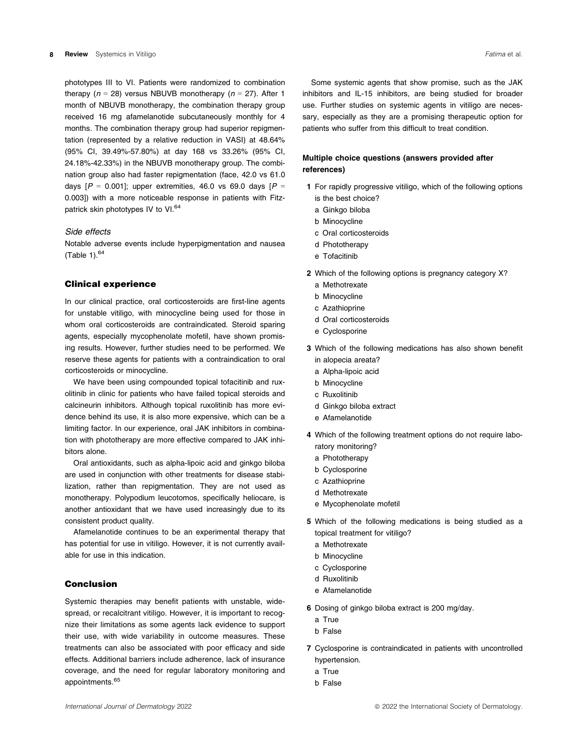phototypes III to VI. Patients were randomized to combination therapy ( $n = 28$ ) versus NBUVB monotherapy ( $n = 27$ ). After 1 month of NBUVB monotherapy, the combination therapy group received 16 mg afamelanotide subcutaneously monthly for 4 months. The combination therapy group had superior repigmentation (represented by a relative reduction in VASI) at 48.64% (95% CI, 39.49%-57.80%) at day 168 vs 33.26% (95% CI, 24.18%-42.33%) in the NBUVB monotherapy group. The combination group also had faster repigmentation (face, 42.0 vs 61.0 days  $[P = 0.001]$ ; upper extremities, 46.0 vs 69.0 days  $[P =$ 0.003]) with a more noticeable response in patients with Fitzpatrick skin phototypes IV to VI.<sup>64</sup>

#### Side effects

Notable adverse events include hyperpigmentation and nausea (Table 1). $64$ 

#### Clinical experience

In our clinical practice, oral corticosteroids are first-line agents for unstable vitiligo, with minocycline being used for those in whom oral corticosteroids are contraindicated. Steroid sparing agents, especially mycophenolate mofetil, have shown promising results. However, further studies need to be performed. We reserve these agents for patients with a contraindication to oral corticosteroids or minocycline.

We have been using compounded topical tofacitinib and ruxolitinib in clinic for patients who have failed topical steroids and calcineurin inhibitors. Although topical ruxolitinib has more evidence behind its use, it is also more expensive, which can be a limiting factor. In our experience, oral JAK inhibitors in combination with phototherapy are more effective compared to JAK inhibitors alone.

Oral antioxidants, such as alpha-lipoic acid and ginkgo biloba are used in conjunction with other treatments for disease stabilization, rather than repigmentation. They are not used as monotherapy. Polypodium leucotomos, specifically heliocare, is another antioxidant that we have used increasingly due to its consistent product quality.

Afamelanotide continues to be an experimental therapy that has potential for use in vitiligo. However, it is not currently available for use in this indication.

### Conclusion

Systemic therapies may benefit patients with unstable, widespread, or recalcitrant vitiligo. However, it is important to recognize their limitations as some agents lack evidence to support their use, with wide variability in outcome measures. These treatments can also be associated with poor efficacy and side effects. Additional barriers include adherence, lack of insurance coverage, and the need for regular laboratory monitoring and appointments.<sup>65</sup>

Some systemic agents that show promise, such as the JAK inhibitors and IL-15 inhibitors, are being studied for broader use. Further studies on systemic agents in vitiligo are necessary, especially as they are a promising therapeutic option for patients who suffer from this difficult to treat condition.

### Multiple choice questions (answers provided after references)

- 1 For rapidly progressive vitiligo, which of the following options is the best choice?
	- a Ginkgo biloba
	- b Minocycline
	- c Oral corticosteroids
	- d Phototherapy
	- e Tofacitinib
- 2 Which of the following options is pregnancy category X?
	- a Methotrexate
	- b Minocycline
	- c Azathioprine
	- d Oral corticosteroids
	- e Cyclosporine
- 3 Which of the following medications has also shown benefit in alopecia areata?
	- a Alpha-lipoic acid
	- b Minocycline
	- c Ruxolitinib
	- d Ginkgo biloba extract
	- e Afamelanotide
- 4 Which of the following treatment options do not require laboratory monitoring?
	- a Phototherapy
	- b Cyclosporine
	- c Azathioprine
	- d Methotrexate
	- e Mycophenolate mofetil
- 5 Which of the following medications is being studied as a topical treatment for vitiligo?
	- a Methotrexate
	- b Minocycline
	- c Cyclosporine
	- d Ruxolitinib
	- e Afamelanotide
- 6 Dosing of ginkgo biloba extract is 200 mg/day.
	- a True
	- b False
- 7 Cyclosporine is contraindicated in patients with uncontrolled hypertension.
	- a True
	- b False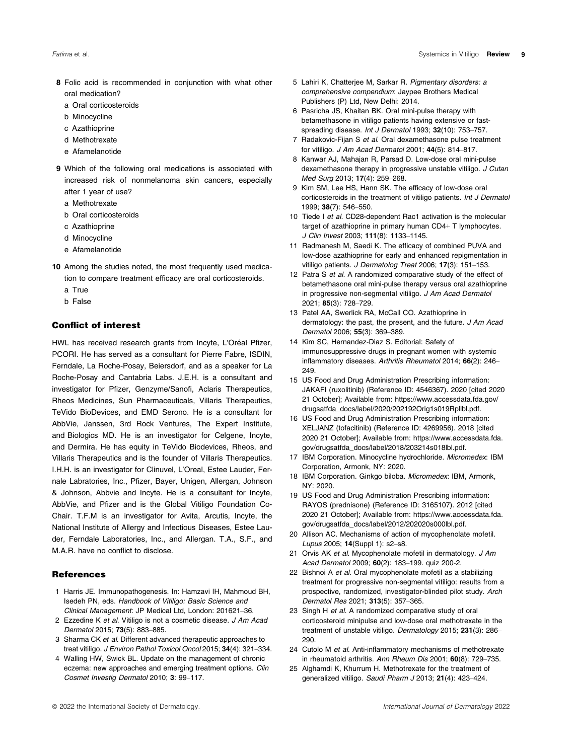- 8 Folic acid is recommended in conjunction with what other oral medication?
	- a Oral corticosteroids
	- b Minocycline
	- c Azathioprine
	- d Methotrexate
	- e Afamelanotide
- 9 Which of the following oral medications is associated with increased risk of nonmelanoma skin cancers, especially after 1 year of use?
	- a Methotrexate
	- b Oral corticosteroids
	- c Azathioprine
	- d Minocycline
	- e Afamelanotide
- 10 Among the studies noted, the most frequently used medication to compare treatment efficacy are oral corticosteroids.
	- a True
	- b False

# Conflict of interest

HWL has received research grants from Incyte, L'Oréal Pfizer, PCORI. He has served as a consultant for Pierre Fabre, ISDIN, Ferndale, La Roche-Posay, Beiersdorf, and as a speaker for La Roche-Posay and Cantabria Labs. J.E.H. is a consultant and investigator for Pfizer, Genzyme/Sanofi, Aclaris Therapeutics, Rheos Medicines, Sun Pharmaceuticals, Villaris Therapeutics, TeVido BioDevices, and EMD Serono. He is a consultant for AbbVie, Janssen, 3rd Rock Ventures, The Expert Institute, and Biologics MD. He is an investigator for Celgene, Incyte, and Dermira. He has equity in TeVido Biodevices, Rheos, and Villaris Therapeutics and is the founder of Villaris Therapeutics. I.H.H. is an investigator for Clinuvel, L'Oreal, Estee Lauder, Fernale Labratories, Inc., Pfizer, Bayer, Unigen, Allergan, Johnson & Johnson, Abbvie and Incyte. He is a consultant for Incyte, AbbVie, and Pfizer and is the Global Vitiligo Foundation Co-Chair. T.F.M is an investigator for Avita, Arcutis, Incyte, the National Institute of Allergy and Infectious Diseases, Estee Lauder, Ferndale Laboratories, Inc., and Allergan. T.A., S.F., and M.A.R. have no conflict to disclose.

#### **References**

- 1 Harris JE. Immunopathogenesis. In: Hamzavi IH, Mahmoud BH, Isedeh PN, eds. Handbook of Vitiligo: Basic Science and Clinical Management: JP Medical Ltd, London: 201621–36.
- 2 Ezzedine K et al. Vitiligo is not a cosmetic disease. J Am Acad Dermatol 2015; 73(5): 883–885.
- 3 Sharma CK et al. Different advanced therapeutic approaches to treat vitiligo. J Environ Pathol Toxicol Oncol 2015; 34(4): 321-334.
- 4 Walling HW, Swick BL. Update on the management of chronic eczema: new approaches and emerging treatment options. Clin Cosmet Investig Dermatol 2010; 3: 99–117.
- 5 Lahiri K, Chatterjee M, Sarkar R. Pigmentary disorders: a comprehensive compendium: Jaypee Brothers Medical Publishers (P) Ltd, New Delhi: 2014.
- 6 Pasricha JS, Khaitan BK. Oral mini-pulse therapy with betamethasone in vitiligo patients having extensive or fastspreading disease. Int J Dermatol 1993; 32(10): 753-757.
- 7 Radakovic-Fijan S et al. Oral dexamethasone pulse treatment for vitiligo. J Am Acad Dermatol 2001; 44(5): 814–817.
- 8 Kanwar AJ, Mahajan R, Parsad D. Low-dose oral mini-pulse dexamethasone therapy in progressive unstable vitiligo. J Cutan Med Surg 2013; 17(4): 259–268.
- 9 Kim SM, Lee HS, Hann SK. The efficacy of low-dose oral corticosteroids in the treatment of vitiligo patients. Int J Dermatol 1999; 38(7): 546–550.
- 10 Tiede I et al. CD28-dependent Rac1 activation is the molecular target of azathioprine in primary human CD4+ T lymphocytes. J Clin Invest 2003; 111(8): 1133–1145.
- 11 Radmanesh M, Saedi K. The efficacy of combined PUVA and low-dose azathioprine for early and enhanced repigmentation in vitiligo patients. J Dermatolog Treat 2006; 17(3): 151–153.
- 12 Patra S et al. A randomized comparative study of the effect of betamethasone oral mini-pulse therapy versus oral azathioprine in progressive non-segmental vitiligo. J Am Acad Dermatol 2021; 85(3): 728–729.
- 13 Patel AA, Swerlick RA, McCall CO. Azathioprine in dermatology: the past, the present, and the future. J Am Acad Dermatol 2006; 55(3): 369–389.
- 14 Kim SC, Hernandez-Diaz S. Editorial: Safety of immunosuppressive drugs in pregnant women with systemic inflammatory diseases. Arthritis Rheumatol 2014; 66(2): 246– 249.
- 15 US Food and Drug Administration Prescribing information: JAKAFI (ruxolitinib) (Reference ID: 4546367). 2020 [cited 2020 21 October]; Available from: [https://www.accessdata.fda.gov/](https://www.accessdata.fda.gov/drugsatfda_docs/label/2020/202192Orig1s019Rpllbl.pdf) [drugsatfda\\_docs/label/2020/202192Orig1s019Rpllbl.pdf.](https://www.accessdata.fda.gov/drugsatfda_docs/label/2020/202192Orig1s019Rpllbl.pdf)
- 16 US Food and Drug Administration Prescribing information: XELJANZ (tofacitinib) (Reference ID: 4269956). 2018 [cited 2020 21 October]; Available from: [https://www.accessdata.fda.](https://www.accessdata.fda.gov/drugsatfda_docs/label/2018/203214s018lbl.pdf) [gov/drugsatfda\\_docs/label/2018/203214s018lbl.pdf](https://www.accessdata.fda.gov/drugsatfda_docs/label/2018/203214s018lbl.pdf).
- 17 IBM Corporation. Minocycline hydrochloride. Micromedex: IBM Corporation, Armonk, NY: 2020.
- 18 IBM Corporation. Ginkgo biloba. Micromedex: IBM, Armonk, NY: 2020.
- 19 US Food and Drug Administration Prescribing information: RAYOS (prednisone) (Reference ID: 3165107). 2012 [cited 2020 21 October]; Available from: [https://www.accessdata.fda.](https://www.accessdata.fda.gov/drugsatfda_docs/label/2012/202020s000lbl.pdf) [gov/drugsatfda\\_docs/label/2012/202020s000lbl.pdf](https://www.accessdata.fda.gov/drugsatfda_docs/label/2012/202020s000lbl.pdf).
- 20 Allison AC. Mechanisms of action of mycophenolate mofetil. Lupus 2005; 14(Suppl 1): s2–s8.
- 21 Orvis AK et al. Mycophenolate mofetil in dermatology. J Am Acad Dermatol 2009; 60(2): 183–199. quiz 200-2.
- 22 Bishnoi A et al. Oral mycophenolate mofetil as a stabilizing treatment for progressive non-segmental vitiligo: results from a prospective, randomized, investigator-blinded pilot study. Arch Dermatol Res 2021; 313(5): 357–365.
- 23 Singh H et al. A randomized comparative study of oral corticosteroid minipulse and low-dose oral methotrexate in the treatment of unstable vitiligo. Dermatology 2015; 231(3): 286– 290.
- 24 Cutolo M et al. Anti-inflammatory mechanisms of methotrexate in rheumatoid arthritis. Ann Rheum Dis 2001; 60(8): 729-735.
- 25 Alghamdi K, Khurrum H. Methotrexate for the treatment of generalized vitiligo. Saudi Pharm J 2013; 21(4): 423-424.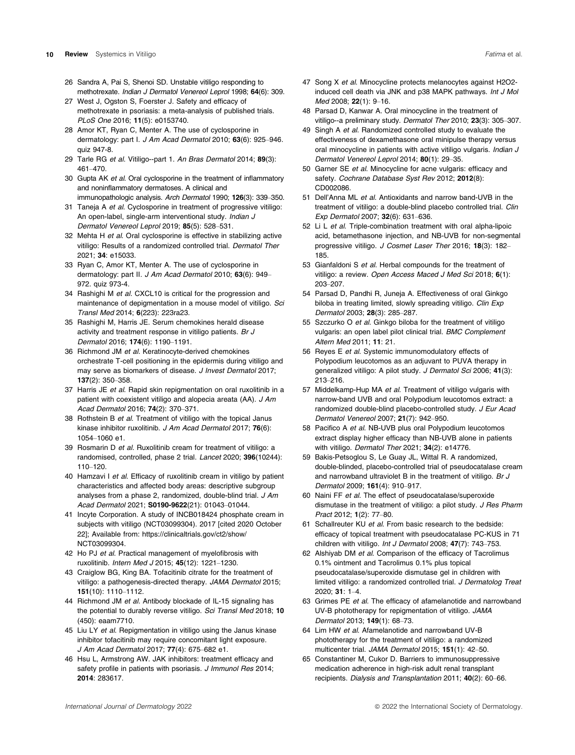- 26 Sandra A, Pai S, Shenoi SD. Unstable vitiligo responding to methotrexate. Indian J Dermatol Venereol Leprol 1998; 64(6): 309.
- 27 West J, Ogston S, Foerster J. Safety and efficacy of methotrexate in psoriasis: a meta-analysis of published trials. PLoS One 2016; 11(5): e0153740.
- 28 Amor KT, Ryan C, Menter A. The use of cyclosporine in dermatology: part I. J Am Acad Dermatol 2010; 63(6): 925-946.  $q$ uiz 947-8.
- 29 Tarle RG et al. Vitiligo--part 1. An Bras Dermatol 2014: 89(3): 461–470.
- 30 Gupta AK et al. Oral cyclosporine in the treatment of inflammatory and noninflammatory dermatoses. A clinical and immunopathologic analysis. Arch Dermatol 1990; 126(3): 339–350.
- 31 Taneja A et al. Cyclosporine in treatment of progressive vitiligo: An open-label, single-arm interventional study. Indian J Dermatol Venereol Leprol 2019; 85(5): 528–531.
- 32 Mehta H et al. Oral cyclosporine is effective in stabilizing active vitiligo: Results of a randomized controlled trial. Dermatol Ther 2021; 34: e15033.
- 33 Ryan C, Amor KT, Menter A. The use of cyclosporine in dermatology: part II. J Am Acad Dermatol 2010; 63(6): 949-972. quiz 973-4.
- 34 Rashighi M et al. CXCL10 is critical for the progression and maintenance of depigmentation in a mouse model of vitiligo. Sci Transl Med 2014; 6(223): 223ra23.
- 35 Rashighi M, Harris JE. Serum chemokines herald disease activity and treatment response in vitiligo patients. Br J Dermatol 2016; 174(6): 1190–1191.
- 36 Richmond JM et al. Keratinocyte-derived chemokines orchestrate T-cell positioning in the epidermis during vitiligo and may serve as biomarkers of disease. J Invest Dermatol 2017; 137(2): 350–358.
- 37 Harris JE et al. Rapid skin repigmentation on oral ruxolitinib in a patient with coexistent vitiligo and alopecia areata (AA). J Am Acad Dermatol 2016; 74(2): 370–371.
- 38 Rothstein B et al. Treatment of vitiligo with the topical Janus kinase inhibitor ruxolitinib. J Am Acad Dermatol 2017; 76(6): 1054–1060 e1.
- 39 Rosmarin D et al. Ruxolitinib cream for treatment of vitiligo: a randomised, controlled, phase 2 trial. Lancet 2020; 396(10244): 110–120.
- 40 Hamzavi I et al. Efficacy of ruxolitinib cream in vitiligo by patient characteristics and affected body areas: descriptive subgroup analyses from a phase 2, randomized, double-blind trial. J Am Acad Dermatol 2021; S0190-9622(21): 01043–01044.
- 41 Incyte Corporation. A study of INCB018424 phosphate cream in subjects with vitiligo (NCT03099304). 2017 [cited 2020 October 22]; Available from: [https://clinicaltrials.gov/ct2/show/](https://clinicaltrials.gov/ct2/show/NCT03099304) [NCT03099304.](https://clinicaltrials.gov/ct2/show/NCT03099304)
- 42 Ho PJ et al. Practical management of myelofibrosis with ruxolitinib. Intern Med J 2015; 45(12): 1221–1230.
- 43 Craiglow BG, King BA. Tofacitinib citrate for the treatment of vitiligo: a pathogenesis-directed therapy. JAMA Dermatol 2015; 151(10): 1110–1112.
- 44 Richmond JM et al. Antibody blockade of IL-15 signaling has the potential to durably reverse vitiligo. Sci Transl Med 2018; 10 (450): eaam7710.
- 45 Liu LY et al. Repigmentation in vitiligo using the Janus kinase inhibitor tofacitinib may require concomitant light exposure. J Am Acad Dermatol 2017; 77(4): 675–682 e1.
- 46 Hsu L, Armstrong AW. JAK inhibitors: treatment efficacy and safety profile in patients with psoriasis. J Immunol Res 2014; 2014: 283617.
- 47 Song X et al. Minocycline protects melanocytes against H2O2induced cell death via JNK and p38 MAPK pathways. Int J Mol Med 2008; 22(1): 9–16.
- 48 Parsad D, Kanwar A. Oral minocycline in the treatment of vitiligo--a preliminary study. Dermatol Ther 2010; 23(3): 305–307.
- 49 Singh A et al. Randomized controlled study to evaluate the effectiveness of dexamethasone oral minipulse therapy versus oral minocycline in patients with active vitiligo vulgaris. Indian J Dermatol Venereol Leprol 2014; 80(1): 29–35.
- 50 Garner SE et al. Minocycline for acne vulgaris: efficacy and safety. Cochrane Database Syst Rev 2012; 2012(8): CD002086.
- 51 Dell'Anna ML et al. Antioxidants and narrow band-UVB in the treatment of vitiligo: a double-blind placebo controlled trial. Clin Exp Dermatol 2007; 32(6): 631–636.
- 52 Li L et al. Triple-combination treatment with oral alpha-lipoic acid, betamethasone injection, and NB-UVB for non-segmental progressive vitiligo. J Cosmet Laser Ther 2016; 18(3): 182-185.
- 53 Gianfaldoni S et al. Herbal compounds for the treatment of vitiligo: a review. Open Access Maced J Med Sci 2018; 6(1): 203–207.
- 54 Parsad D, Pandhi R, Juneja A. Effectiveness of oral Ginkgo biloba in treating limited, slowly spreading vitiligo. Clin Exp Dermatol 2003; 28(3): 285–287.
- 55 Szczurko O et al. Ginkgo biloba for the treatment of vitiligo vulgaris: an open label pilot clinical trial. BMC Complement Altern Med 2011; 11: 21.
- 56 Reyes E et al. Systemic immunomodulatory effects of Polypodium leucotomos as an adjuvant to PUVA therapy in generalized vitiligo: A pilot study. J Dermatol Sci 2006; 41(3): 213–216.
- 57 Middelkamp-Hup MA et al. Treatment of vitiligo vulgaris with narrow-band UVB and oral Polypodium leucotomos extract: a randomized double-blind placebo-controlled study. J Eur Acad Dermatol Venereol 2007; 21(7): 942–950.
- 58 Pacifico A et al. NB-UVB plus oral Polypodium leucotomos extract display higher efficacy than NB-UVB alone in patients with vitiligo. Dermatol Ther 2021; 34(2): e14776.
- 59 Bakis-Petsoglou S, Le Guay JL, Wittal R. A randomized, double-blinded, placebo-controlled trial of pseudocatalase cream and narrowband ultraviolet B in the treatment of vitiligo. Br J Dermatol 2009; 161(4): 910–917.
- 60 Naini FF et al. The effect of pseudocatalase/superoxide dismutase in the treatment of vitiligo: a pilot study. J Res Pharm Pract 2012; 1(2): 77–80.
- 61 Schallreuter KU et al. From basic research to the bedside: efficacy of topical treatment with pseudocatalase PC-KUS in 71 children with vitiligo. Int J Dermatol 2008; 47(7): 743-753.
- 62 Alshiyab DM et al. Comparison of the efficacy of Tacrolimus 0.1% ointment and Tacrolimus 0.1% plus topical pseudocatalase/superoxide dismutase gel in children with limited vitiligo: a randomized controlled trial. J Dermatolog Treat 2020; 31: 1–4.
- 63 Grimes PE et al. The efficacy of afamelanotide and narrowband UV-B phototherapy for repigmentation of vitiligo. JAMA Dermatol 2013; 149(1): 68–73.
- 64 Lim HW et al. Afamelanotide and narrowband UV-B phototherapy for the treatment of vitiligo: a randomized multicenter trial. JAMA Dermatol 2015; 151(1): 42–50.
- 65 Constantiner M, Cukor D. Barriers to immunosuppressive medication adherence in high-risk adult renal transplant recipients. Dialysis and Transplantation 2011; 40(2): 60–66.